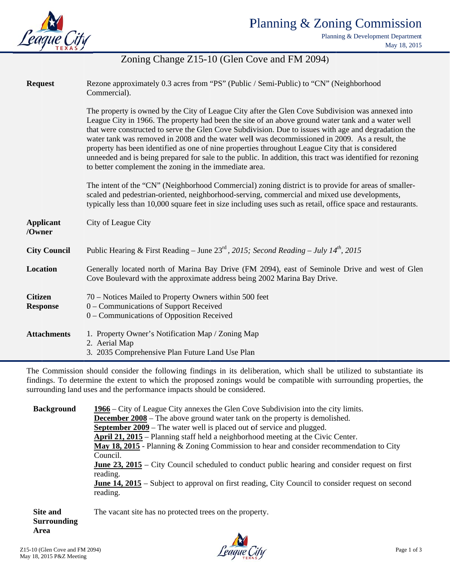

Planning & Development Department May 18, 2015

## Zoning Change Z15-10 (Glen Cove and FM 2094)

| <b>Request</b>                    | Rezone approximately 0.3 acres from "PS" (Public / Semi-Public) to "CN" (Neighborhood<br>Commercial).                                                                                                                                                                                                                                                                                                                                                                                                                                                                                                                                                                                         |
|-----------------------------------|-----------------------------------------------------------------------------------------------------------------------------------------------------------------------------------------------------------------------------------------------------------------------------------------------------------------------------------------------------------------------------------------------------------------------------------------------------------------------------------------------------------------------------------------------------------------------------------------------------------------------------------------------------------------------------------------------|
|                                   | The property is owned by the City of League City after the Glen Cove Subdivision was annexed into<br>League City in 1966. The property had been the site of an above ground water tank and a water well<br>that were constructed to serve the Glen Cove Subdivision. Due to issues with age and degradation the<br>water tank was removed in 2008 and the water well was decommissioned in 2009. As a result, the<br>property has been identified as one of nine properties throughout League City that is considered<br>unneeded and is being prepared for sale to the public. In addition, this tract was identified for rezoning<br>to better complement the zoning in the immediate area. |
|                                   | The intent of the "CN" (Neighborhood Commercial) zoning district is to provide for areas of smaller-<br>scaled and pedestrian-oriented, neighborhood-serving, commercial and mixed use developments,<br>typically less than 10,000 square feet in size including uses such as retail, office space and restaurants.                                                                                                                                                                                                                                                                                                                                                                           |
| <b>Applicant</b><br>/Owner        | City of League City                                                                                                                                                                                                                                                                                                                                                                                                                                                                                                                                                                                                                                                                           |
| <b>City Council</b>               | Public Hearing & First Reading - June $23^{\text{rd}}$ , 2015; Second Reading - July 14 <sup>th</sup> , 2015                                                                                                                                                                                                                                                                                                                                                                                                                                                                                                                                                                                  |
| <b>Location</b>                   | Generally located north of Marina Bay Drive (FM 2094), east of Seminole Drive and west of Glen<br>Cove Boulevard with the approximate address being 2002 Marina Bay Drive.                                                                                                                                                                                                                                                                                                                                                                                                                                                                                                                    |
| <b>Citizen</b><br><b>Response</b> | 70 – Notices Mailed to Property Owners within 500 feet<br>0 – Communications of Support Received<br>0 – Communications of Opposition Received                                                                                                                                                                                                                                                                                                                                                                                                                                                                                                                                                 |
| <b>Attachments</b>                | 1. Property Owner's Notification Map / Zoning Map<br>2. Aerial Map<br>3. 2035 Comprehensive Plan Future Land Use Plan                                                                                                                                                                                                                                                                                                                                                                                                                                                                                                                                                                         |

The Commission should consider the following findings in its deliberation, which shall be utilized to substantiate its findings. To determine the extent to which the proposed zonings would be compatible with surrounding properties, the surrounding land uses and the performance impacts should be considered.

**Background** 1966 – City of League City annexes the Glen Cove Subdivision into the city limits. **December 2008** – The above ground water tank on the property is demolished. September 2009 – The water well is placed out of service and plugged. April 21, 2015 – Planning staff held a neighborhood meeting at the Civic Center. May 18, 2015 - Planning & Zoning Commission to hear and consider recommendation to City Council. **June 23, 2015** – City Council scheduled to conduct public hearing and consider request on first reading. **June 14, 2015** – Subject to approval on first reading, City Council to consider request on second reading.

Site and The vacant site has no protected trees on the property. **Surrounding** Area

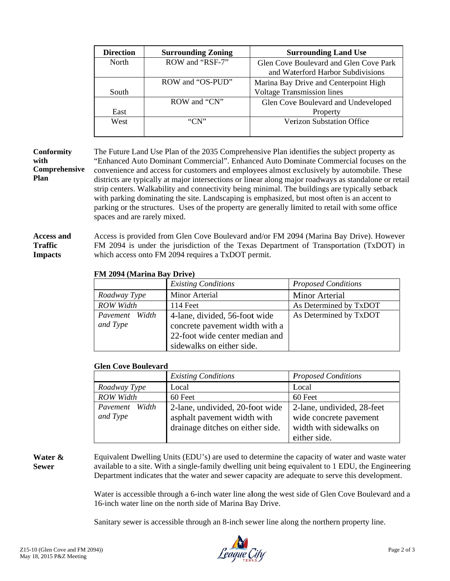| <b>Direction</b> | <b>Surrounding Zoning</b> | <b>Surrounding Land Use</b>            |
|------------------|---------------------------|----------------------------------------|
| North            | ROW and "RSF-7"           | Glen Cove Boulevard and Glen Cove Park |
|                  |                           | and Waterford Harbor Subdivisions      |
|                  | ROW and "OS-PUD"          | Marina Bay Drive and Centerpoint High  |
| South            |                           | <b>Voltage Transmission lines</b>      |
|                  | ROW and "CN"              | Glen Cove Boulevard and Undeveloped    |
| East             |                           | Property                               |
| West             | "CN"                      | <b>Verizon Substation Office</b>       |
|                  |                           |                                        |

#### **Conformity** with Comprehensive Plan

The Future Land Use Plan of the 2035 Comprehensive Plan identifies the subject property as "Enhanced Auto Dominant Commercial". Enhanced Auto Dominate Commercial focuses on the convenience and access for customers and employees almost exclusively by automobile. These districts are typically at major intersections or linear along major roadways as standalone or retail strip centers. Walkability and connectivity being minimal. The buildings are typically setback with parking dominating the site. Landscaping is emphasized, but most often is an accent to parking or the structures. Uses of the property are generally limited to retail with some office spaces and are rarely mixed.

#### **Access and** Access is provided from Glen Cove Boulevard and/or FM 2094 (Marina Bay Drive). However FM 2094 is under the jurisdiction of the Texas Department of Transportation (TxDOT) in **Traffic** which access onto FM 2094 requires a TxDOT permit. **Impacts**

#### FM 2094 (Marina Bay Drive)

|                            | <b>Existing Conditions</b>                                                                                                     | <b>Proposed Conditions</b> |
|----------------------------|--------------------------------------------------------------------------------------------------------------------------------|----------------------------|
| Roadway Type               | Minor Arterial                                                                                                                 | <b>Minor Arterial</b>      |
| <b>ROW</b> Width           | 114 Feet                                                                                                                       | As Determined by TxDOT     |
| Pavement Width<br>and Type | 4-lane, divided, 56-foot wide<br>concrete pavement width with a<br>22-foot wide center median and<br>sidewalks on either side. | As Determined by TxDOT     |

#### **Glen Cove Boulevard**

|                            | <b>Existing Conditions</b>                                                                         | <b>Proposed Conditions</b>                                                                      |
|----------------------------|----------------------------------------------------------------------------------------------------|-------------------------------------------------------------------------------------------------|
| Roadway Type               | Local                                                                                              | Local                                                                                           |
| <b>ROW Width</b>           | 60 Feet                                                                                            | 60 Feet                                                                                         |
| Pavement Width<br>and Type | 2-lane, undivided, 20-foot wide<br>asphalt pavement width with<br>drainage ditches on either side. | 2-lane, undivided, 28-feet<br>wide concrete pavement<br>width with sidewalks on<br>either side. |

#### Water & **Sewer**

Equivalent Dwelling Units (EDU's) are used to determine the capacity of water and waste water available to a site. With a single-family dwelling unit being equivalent to 1 EDU, the Engineering Department indicates that the water and sewer capacity are adequate to serve this development.

Water is accessible through a 6-inch water line along the west side of Glen Cove Boulevard and a 16-inch water line on the north side of Marina Bay Drive.

Sanitary sewer is accessible through an 8-inch sewer line along the northern property line.

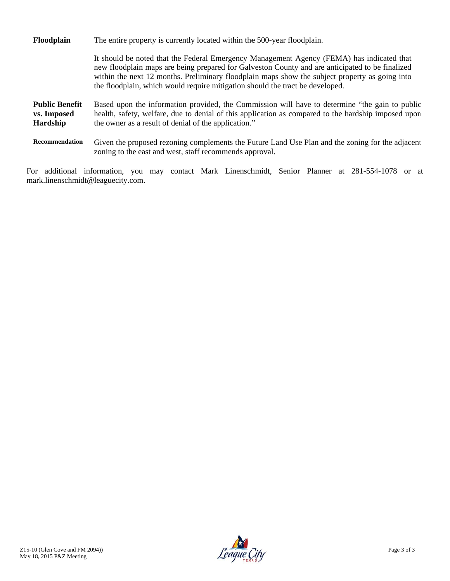| Floodplain                                       | The entire property is currently located within the 500-year floodplain.                                                                                                                                                                                                                                                                                                        |
|--------------------------------------------------|---------------------------------------------------------------------------------------------------------------------------------------------------------------------------------------------------------------------------------------------------------------------------------------------------------------------------------------------------------------------------------|
|                                                  | It should be noted that the Federal Emergency Management Agency (FEMA) has indicated that<br>new floodplain maps are being prepared for Galveston County and are anticipated to be finalized<br>within the next 12 months. Preliminary floodplain maps show the subject property as going into<br>the floodplain, which would require mitigation should the tract be developed. |
| <b>Public Benefit</b><br>vs. Imposed<br>Hardship | Based upon the information provided, the Commission will have to determine "the gain to public<br>health, safety, welfare, due to denial of this application as compared to the hardship imposed upon<br>the owner as a result of denial of the application."                                                                                                                   |
| <b>Recommendation</b>                            | Given the proposed rezoning complements the Future Land Use Plan and the zoning for the adjacent<br>zoning to the east and west, staff recommends approval.                                                                                                                                                                                                                     |

For additional information, you may contact Mark Linenschmidt, Senior Planner at 281-554-1078 or at mark.linenschmidt@leaguecity.com.

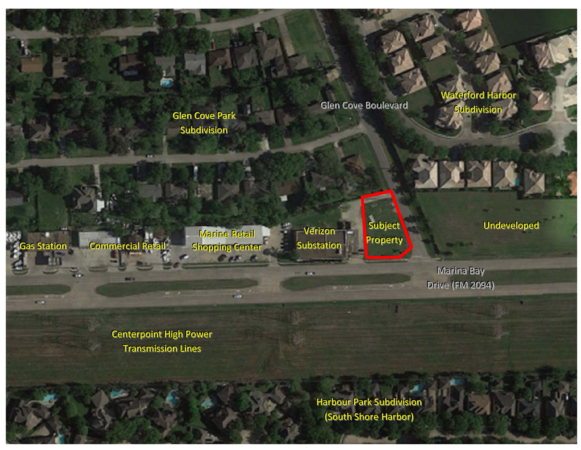**Glen Cove Park** Subdivision

Glen Cove Boulevard

Waterford Harbor Subdivision

FILIX<sub>X</sub>

as Stationn n Commercial Retai illl

Marine Retail Shopping Center Per.

Verizon Substation

Subject Property

Undeveloped

Drive (FM 2094) Marina Bay

Centerpoint High Power Transmission Lines

> Harbour Park Subdivision (South Shore Harbor)